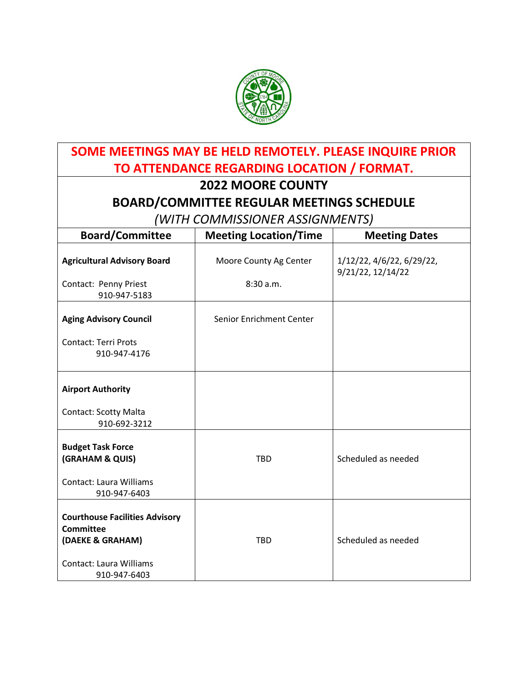

┑

| SOME MEETINGS MAY BE HELD REMOTELY. PLEASE INQUIRE PRIOR               |                              |                                                |  |  |
|------------------------------------------------------------------------|------------------------------|------------------------------------------------|--|--|
| TO ATTENDANCE REGARDING LOCATION / FORMAT.                             |                              |                                                |  |  |
| <b>2022 MOORE COUNTY</b>                                               |                              |                                                |  |  |
| <b>BOARD/COMMITTEE REGULAR MEETINGS SCHEDULE</b>                       |                              |                                                |  |  |
| (WITH COMMISSIONER ASSIGNMENTS)                                        |                              |                                                |  |  |
| <b>Board/Committee</b>                                                 | <b>Meeting Location/Time</b> | <b>Meeting Dates</b>                           |  |  |
| <b>Agricultural Advisory Board</b>                                     | Moore County Ag Center       | 1/12/22, 4/6/22, 6/29/22,<br>9/21/22, 12/14/22 |  |  |
| Contact: Penny Priest<br>910-947-5183                                  | 8:30a.m.                     |                                                |  |  |
| <b>Aging Advisory Council</b>                                          | Senior Enrichment Center     |                                                |  |  |
| <b>Contact: Terri Prots</b><br>910-947-4176                            |                              |                                                |  |  |
| <b>Airport Authority</b>                                               |                              |                                                |  |  |
| <b>Contact: Scotty Malta</b><br>910-692-3212                           |                              |                                                |  |  |
| <b>Budget Task Force</b><br>(GRAHAM & QUIS)                            | <b>TBD</b>                   | Scheduled as needed                            |  |  |
| <b>Contact: Laura Williams</b><br>910-947-6403                         |                              |                                                |  |  |
| <b>Courthouse Facilities Advisory</b><br>Committee<br>(DAEKE & GRAHAM) | <b>TBD</b>                   | Scheduled as needed                            |  |  |
| <b>Contact: Laura Williams</b><br>910-947-6403                         |                              |                                                |  |  |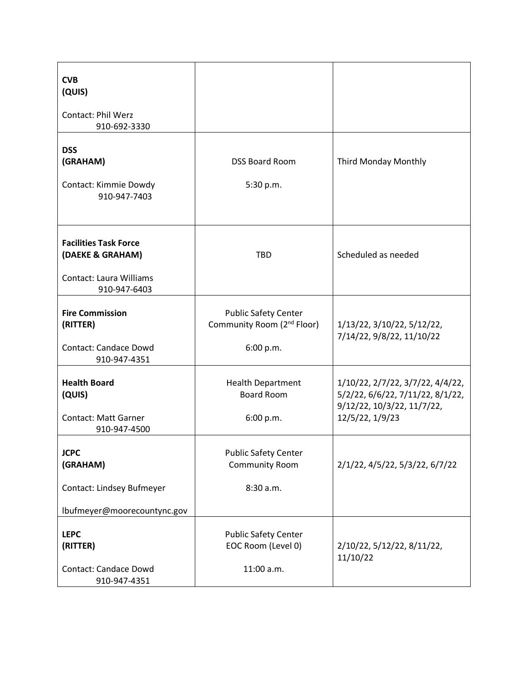| <b>CVB</b><br>(QUIS)<br><b>Contact: Phil Werz</b><br>910-692-3330                                  |                                                                                    |                                                                                                                       |
|----------------------------------------------------------------------------------------------------|------------------------------------------------------------------------------------|-----------------------------------------------------------------------------------------------------------------------|
| <b>DSS</b><br>(GRAHAM)<br>Contact: Kimmie Dowdy<br>910-947-7403                                    | <b>DSS Board Room</b><br>5:30 p.m.                                                 | Third Monday Monthly                                                                                                  |
| <b>Facilities Task Force</b><br>(DAEKE & GRAHAM)<br><b>Contact: Laura Williams</b><br>910-947-6403 | <b>TBD</b>                                                                         | Scheduled as needed                                                                                                   |
| <b>Fire Commission</b><br>(RITTER)<br><b>Contact: Candace Dowd</b><br>910-947-4351                 | <b>Public Safety Center</b><br>Community Room (2 <sup>nd</sup> Floor)<br>6:00 p.m. | 1/13/22, 3/10/22, 5/12/22,<br>7/14/22, 9/8/22, 11/10/22                                                               |
| <b>Health Board</b><br>(QUIS)<br><b>Contact: Matt Garner</b><br>910-947-4500                       | <b>Health Department</b><br><b>Board Room</b><br>6:00 p.m.                         | 1/10/22, 2/7/22, 3/7/22, 4/4/22,<br>5/2/22, 6/6/22, 7/11/22, 8/1/22,<br>9/12/22, 10/3/22, 11/7/22,<br>12/5/22, 1/9/23 |
| <b>JCPC</b><br>(GRAHAM)<br>Contact: Lindsey Bufmeyer<br>lbufmeyer@moorecountync.gov                | <b>Public Safety Center</b><br><b>Community Room</b><br>8:30 a.m.                  | 2/1/22, 4/5/22, 5/3/22, 6/7/22                                                                                        |
| <b>LEPC</b><br>(RITTER)<br><b>Contact: Candace Dowd</b><br>910-947-4351                            | <b>Public Safety Center</b><br>EOC Room (Level 0)<br>11:00 a.m.                    | 2/10/22, 5/12/22, 8/11/22,<br>11/10/22                                                                                |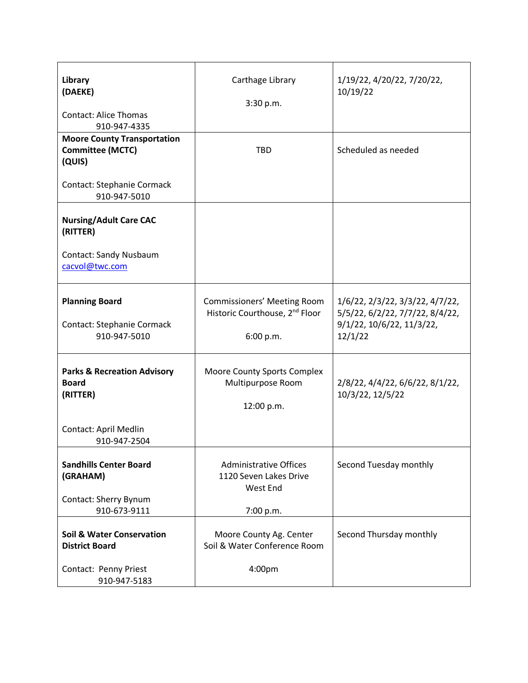| Library<br>(DAEKE)<br><b>Contact: Alice Thomas</b><br>910-947-4335<br><b>Moore County Transportation</b><br><b>Committee (MCTC)</b><br>(QUIS) | Carthage Library<br>3:30 p.m.<br><b>TBD</b>                                                   | 1/19/22, 4/20/22, 7/20/22,<br>10/19/22<br>Scheduled as needed                                              |
|-----------------------------------------------------------------------------------------------------------------------------------------------|-----------------------------------------------------------------------------------------------|------------------------------------------------------------------------------------------------------------|
| <b>Contact: Stephanie Cormack</b><br>910-947-5010                                                                                             |                                                                                               |                                                                                                            |
| <b>Nursing/Adult Care CAC</b><br>(RITTER)<br>Contact: Sandy Nusbaum<br>cacvol@twc.com                                                         |                                                                                               |                                                                                                            |
| <b>Planning Board</b><br><b>Contact: Stephanie Cormack</b><br>910-947-5010                                                                    | <b>Commissioners' Meeting Room</b><br>Historic Courthouse, 2 <sup>nd</sup> Floor<br>6:00 p.m. | 1/6/22, 2/3/22, 3/3/22, 4/7/22,<br>5/5/22, 6/2/22, 7/7/22, 8/4/22,<br>9/1/22, 10/6/22, 11/3/22,<br>12/1/22 |
| <b>Parks &amp; Recreation Advisory</b><br><b>Board</b><br>(RITTER)<br>Contact: April Medlin                                                   | Moore County Sports Complex<br>Multipurpose Room<br>12:00 p.m.                                | $2/8/22$ , $4/4/22$ , $6/6/22$ , $8/1/22$ ,<br>10/3/22, 12/5/22                                            |
| 910-947-2504<br><b>Sandhills Center Board</b><br>(GRAHAM)<br>Contact: Sherry Bynum<br>910-673-9111                                            | <b>Administrative Offices</b><br>1120 Seven Lakes Drive<br>West End<br>7:00 p.m.              | Second Tuesday monthly                                                                                     |
| <b>Soil &amp; Water Conservation</b><br><b>District Board</b><br>Contact: Penny Priest<br>910-947-5183                                        | Moore County Ag. Center<br>Soil & Water Conference Room<br>4:00pm                             | Second Thursday monthly                                                                                    |